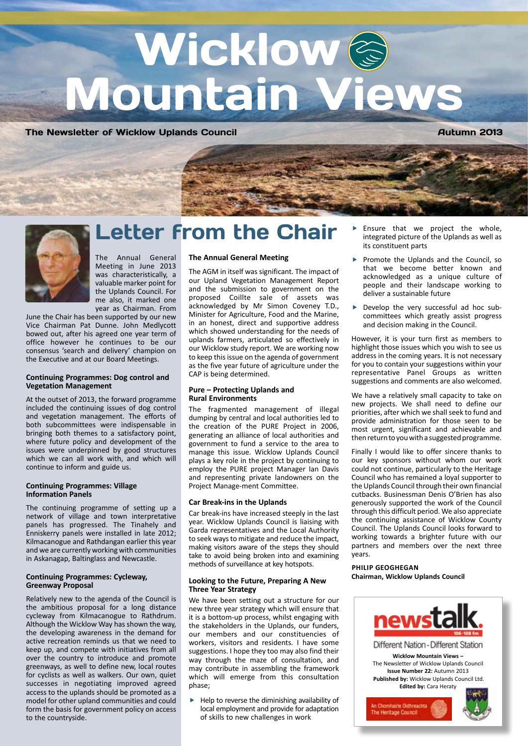# Wicklow<sup>&</sup> Mountain Views

The Newsletter of Wicklow Uplands Council **Autumn 2013** Autumn 2013



### Letter from the Chair

The Annual General Meeting in June 2013 was characteristically, a valuable marker point for the Uplands Council. For me also, it marked one year as Chairman. From

June the Chair has been supported by our new Vice Chairman Pat Dunne. John Medlycott bowed out, after his agreed one year term of office however he continues to be our consensus 'search and delivery' champion on the Executive and at our Board Meetings.

#### **Continuing Programmes: Dog control and Vegetation Management**

At the outset of 2013, the forward programme included the continuing issues of dog control and vegetation management. The efforts of both subcommittees were indispensable in bringing both themes to a satisfactory point, where future policy and development of the issues were underpinned by good structures which we can all work with, and which will continue to inform and guide us.

#### **Continuing Programmes: Village Information Panels**

The continuing programme of setting up a network of village and town interpretative panels has progressed. The Tinahely and Enniskerry panels were installed in late 2012; Kilmacanogue and Rathdangan earlier this year and we are currently working with communities in Askanagap, Baltinglass and Newcastle.

#### **Continuing Programmes: Cycleway, Greenway Proposal**

Relatively new to the agenda of the Council is the ambitious proposal for a long distance cycleway from Kilmacanogue to Rathdrum. Although the Wicklow Way has shown the way, the developing awareness in the demand for active recreation reminds us that we need to keep up, and compete with initiatives from all over the country to introduce and promote greenways, as well to define new, local routes for cyclists as well as walkers. Our own, quiet successes in negotiating improved agreed access to the uplands should be promoted as a model for other upland communities and could form the basis for government policy on access to the countryside.

#### **The Annual General Meeting**

The AGM in itself was significant. The impact of our Upland Vegetation Management Report and the submission to government on the proposed Coillte sale of assets was acknowledged by Mr Simon Coveney T.D., Minister for Agriculture, Food and the Marine, in an honest, direct and supportive address which showed understanding for the needs of uplands farmers, articulated so effectively in our Wicklow study report. We are working now to keep this issue on the agenda of government as the five year future of agriculture under the CAP is being determined.

#### **Pure – Protecting Uplands and Rural Environments**

The fragmented management of illegal dumping by central and local authorities led to the creation of the PURE Project in 2006, generating an alliance of local authorities and government to fund a service to the area to manage this issue. Wicklow Uplands Council plays a key role in the project by continuing to employ the PURE project Manager Ian Davis and representing private landowners on the Project Manage-ment Committee.

#### **Car Break-ins in the Uplands**

Car break-ins have increased steeply in the last year. Wicklow Uplands Council is liaising with Garda representatives and the Local Authority to seek ways to mitigate and reduce the impact, making visitors aware of the steps they should take to avoid being broken into and examining methods of surveillance at key hotspots.

#### **Looking to the Future, Preparing A New Three Year Strategy**

We have been setting out a structure for our new three year strategy which will ensure that it is a bottom-up process, whilst engaging with the stakeholders in the Uplands, our funders, our members and our constituencies of workers, visitors and residents. I have some suggestions. I hope they too may also find their way through the maze of consultation, and may contribute in assembling the framework which will emerge from this consultation phase;

 $\blacktriangleright$  Help to reverse the diminishing availability of local employment and provide for adaptation of skills to new challenges in work

- Ensure that we project the whole, integrated picture of the Uplands as well as its constituent parts
- Promote the Uplands and the Council, so that we become better known and acknowledged as a unique culture of people and their landscape working to deliver a sustainable future
- Develop the very successful ad hoc subcommittees which greatly assist progress and decision making in the Council.

However, it is your turn first as members to highlight those issues which you wish to see us address in the coming years. It is not necessary for you to contain your suggestions within your representative Panel Groups as written suggestions and comments are also welcomed.

We have a relatively small capacity to take on new projects. We shall need to define our priorities, after which we shall seek to fund and provide administration for those seen to be most urgent, significant and achievable and then return to you with a suggested programme.

Finally I would like to offer sincere thanks to our key sponsors without whom our work could not continue, particularly to the Heritage Council who has remained a loyal supporter to the Uplands Council through their own financial cutbacks. Businessman Denis O'Brien has also generously supported the work of the Council through this difficult period. We also appreciate the continuing assistance of Wicklow County Council. The Uplands Council looks forward to working towards a brighter future with our partners and members over the next three years.

#### **PHILIP GEOGHEGAN Chairman, Wicklow Uplands Council**

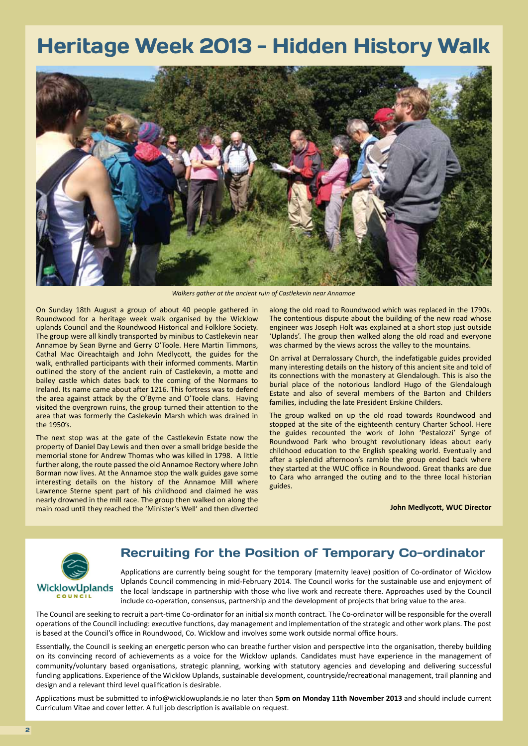### Heritage Week 2013 - Hidden History Walk



*Walkers gather at the ancient ruin of Castlekevin near Annamoe*

On Sunday 18th August a group of about 40 people gathered in Roundwood for a heritage week walk organised by the Wicklow uplands Council and the Roundwood Historical and Folklore Society. The group were all kindly transported by minibus to Castlekevin near Annamoe by Sean Byrne and Gerry O'Toole. Here Martin Timmons, Cathal Mac Oireachtaigh and John Medlycott, the guides for the walk, enthralled participants with their informed comments. Martin outlined the story of the ancient ruin of Castlekevin, a motte and bailey castle which dates back to the coming of the Normans to Ireland. Its name came about after 1216. This fortress was to defend the area against attack by the O'Byrne and O'Toole clans. Having visited the overgrown ruins, the group turned their attention to the area that was formerly the Caslekevin Marsh which was drained in the 1950's.

The next stop was at the gate of the Castlekevin Estate now the property of Daniel Day Lewis and then over a small bridge beside the memorial stone for Andrew Thomas who was killed in 1798. A little further along, the route passed the old Annamoe Rectory where John Borman now lives. At the Annamoe stop the walk guides gave some interesting details on the history of the Annamoe Mill where Lawrence Sterne spent part of his childhood and claimed he was nearly drowned in the mill race. The group then walked on along the main road until they reached the 'Minister's Well' and then diverted

along the old road to Roundwood which was replaced in the 1790s. The contentious dispute about the building of the new road whose engineer was Joseph Holt was explained at a short stop just outside 'Uplands'. The group then walked along the old road and everyone was charmed by the views across the valley to the mountains.

On arrival at Derralossary Church, the indefatigable guides provided many interesting details on the history of this ancient site and told of its connections with the monastery at Glendalough. This is also the burial place of the notorious landlord Hugo of the Glendalough Estate and also of several members of the Barton and Childers families, including the late President Erskine Childers.

The group walked on up the old road towards Roundwood and stopped at the site of the eighteenth century Charter School. Here the guides recounted the work of John 'Pestalozzi' Synge of Roundwood Park who brought revolutionary ideas about early childhood education to the English speaking world. Eventually and after a splendid afternoon's ramble the group ended back where they started at the WUC office in Roundwood. Great thanks are due to Cara who arranged the outing and to the three local historian guides.

**John Medlycott, WUC Director** 



### Recruiting for the Position of Temporary Co-ordinator

Applications are currently being sought for the temporary (maternity leave) position of Co-ordinator of Wicklow Uplands Council commencing in mid-February 2014. The Council works for the sustainable use and enjoyment of the local landscape in partnership with those who live work and recreate there. Approaches used by the Council include co-operation, consensus, partnership and the development of projects that bring value to the area.

The Council are seeking to recruit a part-time Co-ordinator for an initial six month contract. The Co-ordinator will be responsible for the overall operations of the Council including: executive functions, day management and implementation of the strategic and other work plans. The post is based at the Council's office in Roundwood, Co. Wicklow and involves some work outside normal office hours.

Essentially, the Council is seeking an energetic person who can breathe further vision and perspective into the organisation, thereby building on its convincing record of achievements as a voice for the Wicklow uplands. Candidates must have experience in the management of community/voluntary based organisations, strategic planning, working with statutory agencies and developing and delivering successful funding applications. Experience of the Wicklow Uplands, sustainable development, countryside/recreational management, trail planning and design and a relevant third level qualification is desirable.

Applications must be submitted to info@wicklowuplands.ie no later than **5pm on Monday 11th November 2013** and should include current Curriculum Vitae and cover letter. A full job description is available on request.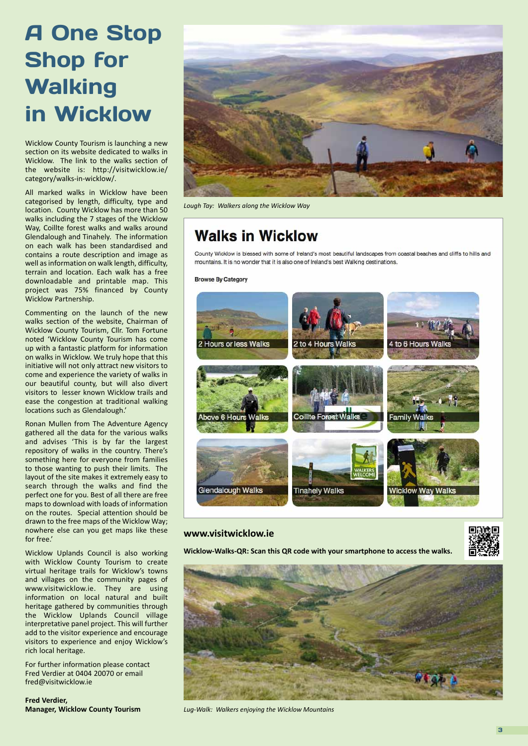## A One Stop Shop for **Walking** in Wicklow

Wicklow County Tourism is launching a new section on its website dedicated to walks in Wicklow. The link to the walks section of the website is: http://visitwicklow.ie/ category/walks-in-wicklow/.

All marked walks in Wicklow have been categorised by length, difficulty, type and location. County Wicklow has more than 50 walks including the 7 stages of the Wicklow Way, Coillte forest walks and walks around Glendalough and Tinahely. The information on each walk has been standardised and contains a route description and image as well as information on walk length, difficulty, terrain and location. Each walk has a free downloadable and printable map. This project was 75% financed by County Wicklow Partnership.

Commenting on the launch of the new walks section of the website, Chairman of Wicklow County Tourism, Cllr. Tom Fortune noted 'Wicklow County Tourism has come up with a fantastic platform for information on walks in Wicklow. We truly hope that this initiative will not only attract new visitors to come and experience the variety of walks in our beautiful county, but will also divert visitors to lesser known Wicklow trails and ease the congestion at traditional walking locations such as Glendalough.'

Ronan Mullen from The Adventure Agency gathered all the data for the various walks and advises 'This is by far the largest repository of walks in the country. There's something here for everyone from families to those wanting to push their limits. The layout of the site makes it extremely easy to search through the walks and find the perfect one for you. Best of all there are free maps to download with loads of information on the routes. Special attention should be drawn to the free maps of the Wicklow Way; nowhere else can you get maps like these for free.'

Wicklow Uplands Council is also working with Wicklow County Tourism to create virtual heritage trails for Wicklow's towns and villages on the community pages of www.visitwicklow.ie. They are using information on local natural and built heritage gathered by communities through the Wicklow Uplands Council village interpretative panel project. This will further add to the visitor experience and encourage visitors to experience and enjoy Wicklow's rich local heritage.

For further information please contact Fred Verdier at 0404 20070 or email fred@visitwicklow.ie

**Fred Verdier, Manager, Wicklow County Tourism**



*Lough Tay: Walkers along the Wicklow Way*

### **Walks in Wicklow**

County Wicklow is blessed with some of Ireland's most beautiful landscapes from coastal beaches and cliffs to hills and mountains. It is no wonder that it is also one of Ireland's best Walking destinations.

**Browse By Category** 



#### **www.visitwicklow.ie**

**Wicklow-Walks-QR: Scan this QR code with your smartphone to access the walks.**





*Lug-Walk: Walkers enjoying the Wicklow Mountains*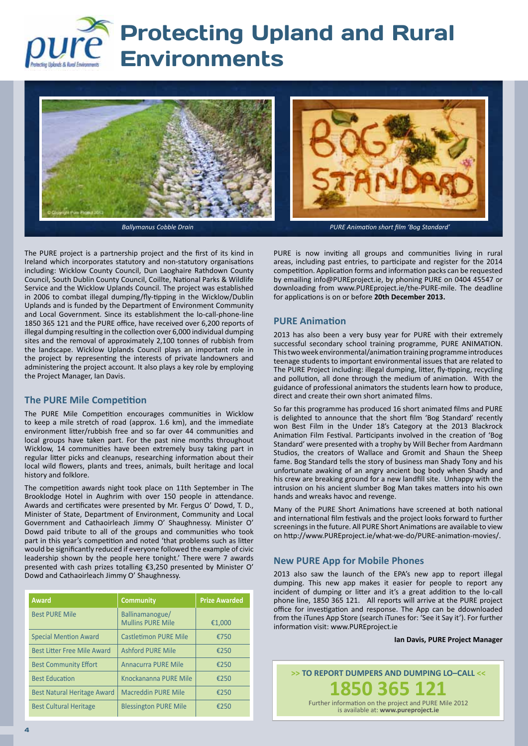

### **Protecting Upland and Rural** Environments



The PURE project is a partnership project and the first of its kind in Ireland which incorporates statutory and non-statutory organisations including: Wicklow County Council, Dun Laoghaire Rathdown County Council, South Dublin County Council, Coillte, National Parks & Wildlife Service and the Wicklow Uplands Council. The project was established in 2006 to combat illegal dumping/fly-tipping in the Wicklow/Dublin Uplands and is funded by the Department of Environment Community and Local Government. Since its establishment the lo-call-phone-line 1850 365 121 and the PURE office, have received over 6,200 reports of illegal dumping resulting in the collection over 6,000 individual dumping sites and the removal of approximately 2,100 tonnes of rubbish from the landscape. Wicklow Uplands Council plays an important role in the project by representing the interests of private landowners and administering the project account. It also plays a key role by employing the Project Manager, Ian Davis.

#### **The PURE Mile Competition**

The PURE Mile Competition encourages communities in Wicklow to keep a mile stretch of road (approx. 1.6 km), and the immediate environment litter/rubbish free and so far over 44 communities and local groups have taken part. For the past nine months throughout Wicklow, 14 communities have been extremely busy taking part in regular litter picks and cleanups, researching information about their local wild flowers, plants and trees, animals, built heritage and local history and folklore.

The competition awards night took place on 11th September in The Brooklodge Hotel in Aughrim with over 150 people in attendance. Awards and certificates were presented by Mr. Fergus O' Dowd, T. D., Minister of State, Department of Environment, Community and Local Government and Cathaoirleach Jimmy O' Shaughnessy. Minister O' Dowd paid tribute to all of the groups and communities who took part in this year's competition and noted 'that problems such as litter would be significantly reduced if everyone followed the example of civic leadership shown by the people here tonight.' There were 7 awards presented with cash prizes totalling €3,250 presented by Minister O' Dowd and Cathaoirleach Jimmy O' Shaughnessy.

| <b>Award</b>                       | <b>Community</b>                            | <b>Prize Awarded</b> |
|------------------------------------|---------------------------------------------|----------------------|
| <b>Best PURE Mile</b>              | Ballinamanogue/<br><b>Mullins PURE Mile</b> | €1,000               |
| <b>Special Mention Award</b>       | <b>Castletimon PURE Mile</b>                | €750                 |
| <b>Best Litter Free Mile Award</b> | <b>Ashford PURE Mile</b>                    | €250                 |
| <b>Best Community Effort</b>       | <b>Annacurra PURE Mile</b>                  | €250                 |
| <b>Best Education</b>              | Knockananna PURE Mile                       | €250                 |
| <b>Best Natural Heritage Award</b> | <b>Macreddin PURE Mile</b>                  | €250                 |
| <b>Best Cultural Heritage</b>      | <b>Blessington PURE Mile</b>                | €250                 |

PURE is now inviting all groups and communities living in rural areas, including past entries, to participate and register for the 2014 competition. Application forms and information packs can be requested by emailing info@PUREproject.ie, by phoning PURE on 0404 45547 or downloading from www.PUREproject.ie/the-PURE-mile. The deadline for applications is on or before **20th December 2013.**

#### **PURE Animation**

2013 has also been a very busy year for PURE with their extremely successful secondary school training programme, PURE ANIMATION. This two week environmental/animation training programme introduces teenage students to important environmental issues that are related to The PURE Project including: illegal dumping, litter, fly-tipping, recycling and pollution, all done through the medium of animation. With the guidance of professional animators the students learn how to produce, direct and create their own short animated films.

So far this programme has produced 16 short animated films and PURE is delighted to announce that the short film 'Bog Standard' recently won Best Film in the Under 18's Category at the 2013 Blackrock Animation Film Festival. Participants involved in the creation of 'Bog Standard' were presented with a trophy by Will Becher from Aardmann Studios, the creators of Wallace and Gromit and Shaun the Sheep fame. Bog Standard tells the story of business man Shady Tony and his unfortunate awaking of an angry ancient bog body when Shady and his crew are breaking ground for a new landfill site. Unhappy with the intrusion on his ancient slumber Bog Man takes matters into his own hands and wreaks havoc and revenge.

Many of the PURE Short Animations have screened at both national and international film festivals and the project looks forward to further screenings in the future. All PURE Short Animations are available to view on http://www.PUREproject.ie/what-we-do/PURE-animation-movies/.

#### **New PURE App for Mobile Phones**

2013 also saw the launch of the EPA's new app to report illegal dumping. This new app makes it easier for people to report any incident of dumping or litter and it's a great addition to the lo-call phone line, 1850 365 121. All reports will arrive at the PURE project office for investigation and response. The App can be ddownloaded from the iTunes App Store (search iTunes for: 'See it Say it'). For further information visit: www.PUREproject.ie

#### **Ian Davis, PURE Project Manager**

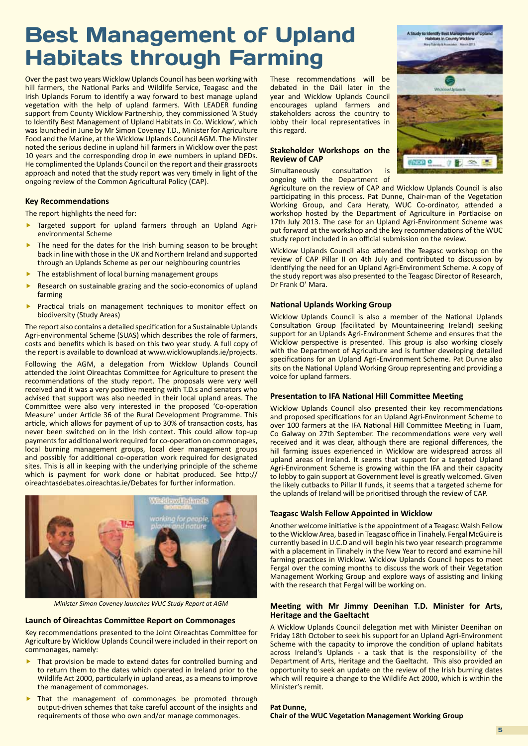### Best Management of Upland Habitats through Farming

Over the past two years Wicklow Uplands Council has been working with hill farmers, the National Parks and Wildlife Service, Teagasc and the Irish Uplands Forum to identify a way forward to best manage upland vegetation with the help of upland farmers. With LEADER funding support from County Wicklow Partnership, they commissioned 'A Study to Identify Best Management of Upland Habitats in Co. Wicklow', which was launched in June by Mr Simon Coveney T.D., Minister for Agriculture Food and the Marine, at the Wicklow Uplands Council AGM. The Minster noted the serious decline in upland hill farmers in Wicklow over the past 10 years and the corresponding drop in ewe numbers in upland DEDs. He complimented the Uplands Council on the report and their grassroots approach and noted that the study report was very timely in light of the ongoing review of the Common Agricultural Policy (CAP).

#### **Key Recommendations**

The report highlights the need for:

- Targeted support for upland farmers through an Upland Agrienvironmental Scheme
- The need for the dates for the Irish burning season to be brought back in line with those in the UK and Northern Ireland and supported through an Uplands Scheme as per our neighbouring countries
- The establishment of local burning management groups
- Research on sustainable grazing and the socio-economics of upland farming
- **Practical trials on management techniques to monitor effect on** biodiversity (Study Areas)

The report also contains a detailed specification for a Sustainable Uplands Agri-environmental Scheme (SUAS) which describes the role of farmers, costs and benefits which is based on this two year study. A full copy of the report is available to download at www.wicklowuplands.ie/projects.

Following the AGM, a delegation from Wicklow Uplands Council attended the Joint Oireachtas Committee for Agriculture to present the recommendations of the study report. The proposals were very well received and it was a very positive meeting with T.D.s and senators who advised that support was also needed in their local upland areas. The Committee were also very interested in the proposed 'Co-operation Measure' under Article 36 of the Rural Development Programme. This article, which allows for payment of up to 30% of transaction costs, has never been switched on in the Irish context. This could allow top-up payments for additional work required for co-operation on commonages, local burning management groups, local deer management groups and possibly for additional co-operation work required for designated sites. This is all in keeping with the underlying principle of the scheme which is payment for work done or habitat produced. See http:// oireachtasdebates.oireachtas.ie/Debates for further information.



*Minister Simon Coveney launches WUC Study Report at AGM*

#### **Launch of Oireachtas Committee Report on Commonages**

Key recommendations presented to the Joint Oireachtas Committee for Agriculture by Wicklow Uplands Council were included in their report on commonages, namely:

- That provision be made to extend dates for controlled burning and to return them to the dates which operated in Ireland prior to the Wildlife Act 2000, particularly in upland areas, as a means to improve the management of commonages.
- That the management of commonages be promoted through output-driven schemes that take careful account of the insights and requirements of those who own and/or manage commonages.

These recommendations will be debated in the Dáil later in the year and Wicklow Uplands Council encourages upland farmers and stakeholders across the country to lobby their local representatives in this regard.

#### **Stakeholder Workshops on the Review of CAP**

Simultaneously consultation is ongoing with the Department of



Agriculture on the review of CAP and Wicklow Uplands Council is also participating in this process. Pat Dunne, Chair-man of the Vegetation Working Group, and Cara Heraty, WUC Co-ordinator, attended a workshop hosted by the Department of Agriculture in Portlaoise on 17th July 2013. The case for an Upland Agri-Environment Scheme was put forward at the workshop and the key recommendations of the WUC study report included in an official submission on the review.

Wicklow Uplands Council also attended the Teagasc workshop on the review of CAP Pillar II on 4th July and contributed to discussion by identifying the need for an Upland Agri-Environment Scheme. A copy of the study report was also presented to the Teagasc Director of Research, Dr Frank O' Mara.

#### **National Uplands Working Group**

Wicklow Uplands Council is also a member of the National Uplands Consultation Group (facilitated by Mountaineering Ireland) seeking support for an Uplands Agri-Environment Scheme and ensures that the Wicklow perspective is presented. This group is also working closely with the Department of Agriculture and is further developing detailed specifications for an Upland Agri-Environment Scheme. Pat Dunne also sits on the National Upland Working Group representing and providing a voice for upland farmers.

#### **Presentation to IFA National Hill Committee Meeting**

Wicklow Uplands Council also presented their key recommendations and proposed specifications for an Upland Agri-Environment Scheme to over 100 farmers at the IFA National Hill Committee Meeting in Tuam, Co Galway on 27th September. The recommendations were very well received and it was clear, although there are regional differences, the hill farming issues experienced in Wicklow are widespread across all upland areas of Ireland. It seems that support for a targeted Upland Agri-Environment Scheme is growing within the IFA and their capacity to lobby to gain support at Government level is greatly welcomed. Given the likely cutbacks to Pillar II funds, it seems that a targeted scheme for the uplands of Ireland will be prioritised through the review of CAP.

#### **Teagasc Walsh Fellow Appointed in Wicklow**

Another welcome initiative is the appointment of a Teagasc Walsh Fellow to the Wicklow Area, based in Teagasc office in Tinahely. Fergal McGuire is currently based in U.C.D and will begin his two year research programme with a placement in Tinahely in the New Year to record and examine hill farming practices in Wicklow. Wicklow Uplands Council hopes to meet Fergal over the coming months to discuss the work of their Vegetation Management Working Group and explore ways of assisting and linking with the research that Fergal will be working on.

#### **Meeting with Mr Jimmy Deenihan T.D. Minister for Arts, Heritage and the Gaeltacht**

A Wicklow Uplands Council delegation met with Minister Deenihan on Friday 18th October to seek his support for an Upland Agri-Environment Scheme with the capacity to improve the condition of upland habitats across Ireland's Uplands - a task that is the responsibility of the Department of Arts, Heritage and the Gaeltacht. This also provided an opportunity to seek an update on the review of the Irish burning dates which will require a change to the Wildlife Act 2000, which is within the Minister's remit.

**Pat Dunne, Chair of the WUC Vegetation Management Working Group**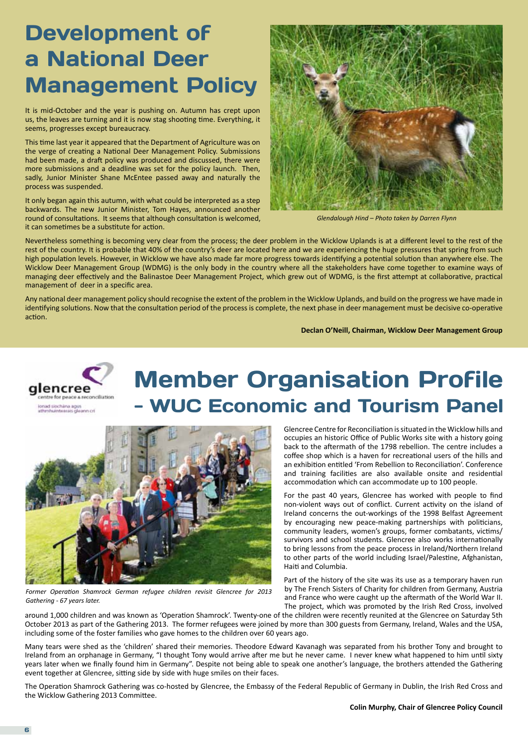### Development of a National Deer Management Policy

It is mid-October and the year is pushing on. Autumn has crept upon us, the leaves are turning and it is now stag shooting time. Everything, it seems, progresses except bureaucracy.

This time last year it appeared that the Department of Agriculture was on the verge of creating a National Deer Management Policy. Submissions had been made, a draft policy was produced and discussed, there were more submissions and a deadline was set for the policy launch. Then, sadly, Junior Minister Shane McEntee passed away and naturally the process was suspended.

It only began again this autumn, with what could be interpreted as a step backwards. The new Junior Minister, Tom Hayes, announced another round of consultations. It seems that although consultation is welcomed, it can sometimes be a substitute for action.



*Glendalough Hind – Photo taken by Darren Flynn*

Nevertheless something is becoming very clear from the process; the deer problem in the Wicklow Uplands is at a different level to the rest of the rest of the country. It is probable that 40% of the country's deer are located here and we are experiencing the huge pressures that spring from such high population levels. However, in Wicklow we have also made far more progress towards identifying a potential solution than anywhere else. The Wicklow Deer Management Group (WDMG) is the only body in the country where all the stakeholders have come together to examine ways of managing deer effectively and the Balinastoe Deer Management Project, which grew out of WDMG, is the first attempt at collaborative, practical management of deer in a specific area.

Any national deer management policy should recognise the extent of the problem in the Wicklow Uplands, and build on the progress we have made in identifying solutions. Now that the consultation period of the process is complete, the next phase in deer management must be decisive co-operative action.

**Declan O'Neill, Chairman, Wicklow Deer Management Group**



### Member Organisation Profile WUC Economic and Tourism Panel



*Former Operation Shamrock German refugee children revisit Glencree for 2013 Gathering - 67 years later.*

Glencree Centre for Reconciliation is situated in the Wicklow hills and occupies an historic Office of Public Works site with a history going back to the aftermath of the 1798 rebellion. The centre includes a coffee shop which is a haven for recreational users of the hills and an exhibition entitled 'From Rebellion to Reconciliation'. Conference and training facilities are also available onsite and residential accommodation which can accommodate up to 100 people.

For the past 40 years, Glencree has worked with people to find non-violent ways out of conflict. Current activity on the island of Ireland concerns the out-workings of the 1998 Belfast Agreement by encouraging new peace-making partnerships with politicians, community leaders, women's groups, former combatants, victims/ survivors and school students. Glencree also works internationally to bring lessons from the peace process in Ireland/Northern Ireland to other parts of the world including Israel/Palestine, Afghanistan, Haiti and Columbia.

Part of the history of the site was its use as a temporary haven run by The French Sisters of Charity for children from Germany, Austria and France who were caught up the aftermath of the World War II. The project, which was promoted by the Irish Red Cross, involved

around 1,000 children and was known as 'Operation Shamrock'. Twenty-one of the children were recently reunited at the Glencree on Saturday 5th October 2013 as part of the Gathering 2013. The former refugees were joined by more than 300 guests from Germany, Ireland, Wales and the USA, including some of the foster families who gave homes to the children over 60 years ago.

Many tears were shed as the 'children' shared their memories. Theodore Edward Kavanagh was separated from his brother Tony and brought to Ireland from an orphanage in Germany, "I thought Tony would arrive after me but he never came. I never knew what happened to him until sixty years later when we finally found him in Germany". Despite not being able to speak one another's language, the brothers attended the Gathering event together at Glencree, sitting side by side with huge smiles on their faces.

The Operation Shamrock Gathering was co-hosted by Glencree, the Embassy of the Federal Republic of Germany in Dublin, the Irish Red Cross and the Wicklow Gathering 2013 Committee.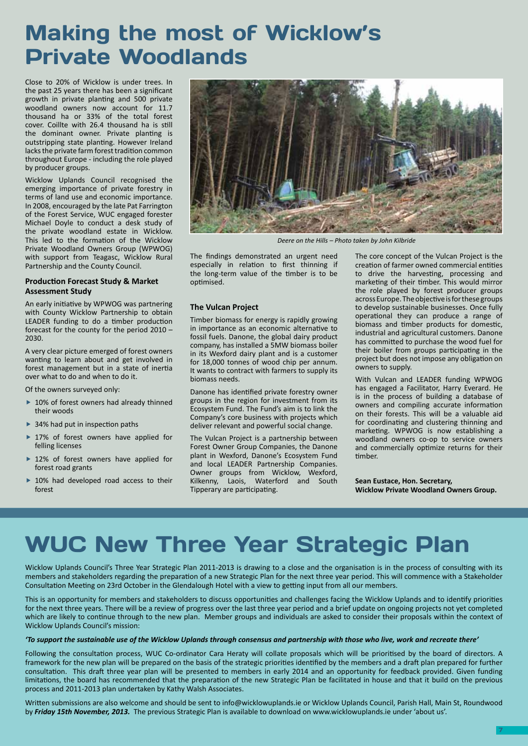### Making the most of Wicklow's Private Woodlands

Close to 20% of Wicklow is under trees. In the past 25 years there has been a significant growth in private planting and 500 private woodland owners now account for 11.7 thousand ha or 33% of the total forest cover. Coillte with 26.4 thousand ha is still the dominant owner. Private planting is outstripping state planting. However Ireland lacks the private farm forest tradition common throughout Europe - including the role played by producer groups.

Wicklow Uplands Council recognised the emerging importance of private forestry in terms of land use and economic importance. In 2008, encouraged by the late Pat Farrington of the Forest Service, WUC engaged forester Michael Doyle to conduct a desk study of the private woodland estate in Wicklow. This led to the formation of the Wicklow Private Woodland Owners Group (WPWOG) with support from Teagasc, Wicklow Rural Partnership and the County Council.

#### **Production Forecast Study & Market Assessment Study**

An early initiative by WPWOG was partnering with County Wicklow Partnership to obtain LEADER funding to do a timber production forecast for the county for the period 2010 – 2030.

A very clear picture emerged of forest owners wanting to learn about and get involved in forest management but in a state of inertia over what to do and when to do it.

Of the owners surveyed only:

- ▶ 10% of forest owners had already thinned their woods
- ▶ 34% had put in inspection paths
- ▶ 17% of forest owners have applied for felling licenses
- ▶ 12% of forest owners have applied for forest road grants
- ▶ 10% had developed road access to their forest



*Deere on the Hills – Photo taken by John Kilbride*

The findings demonstrated an urgent need especially in relation to first thinning if the long-term value of the timber is to be optimised.

#### **The Vulcan Project**

Timber biomass for energy is rapidly growing in importance as an economic alternative to fossil fuels. Danone, the global dairy product company, has installed a 5MW biomass boiler in its Wexford dairy plant and is a customer for 18,000 tonnes of wood chip per annum. It wants to contract with farmers to supply its biomass needs.

Danone has identified private forestry owner groups in the region for investment from its Ecosystem Fund. The Fund's aim is to link the Company's core business with projects which deliver relevant and powerful social change.

The Vulcan Project is a partnership between Forest Owner Group Companies, the Danone plant in Wexford, Danone's Ecosystem Fund and local LEADER Partnership Companies. Owner groups from Wicklow, Wexford, Kilkenny, Laois, Waterford and South Tipperary are participating.

The core concept of the Vulcan Project is the creation of farmer owned commercial entities to drive the harvesting, processing and marketing of their timber. This would mirror the role played by forest producer groups across Europe. The objective is for these groups to develop sustainable businesses. Once fully operational they can produce a range of biomass and timber products for domestic, industrial and agricultural customers. Danone has committed to purchase the wood fuel for their boiler from groups participating in the project but does not impose any obligation on owners to supply.

With Vulcan and LEADER funding WPWOG has engaged a Facilitator, Harry Everard. He is in the process of building a database of owners and compiling accurate information on their forests. This will be a valuable aid for coordinating and clustering thinning and marketing. WPWOG is now establishing a woodland owners co-op to service owners and commercially optimize returns for their timber.

**Sean Eustace, Hon. Secretary, Wicklow Private Woodland Owners Group.**

### WUC New Three Year Strategic Plan

Wicklow Uplands Council's Three Year Strategic Plan 2011-2013 is drawing to a close and the organisation is in the process of consulting with its members and stakeholders regarding the preparation of a new Strategic Plan for the next three year period. This will commence with a Stakeholder Consultation Meeting on 23rd October in the Glendalough Hotel with a view to getting input from all our members.

This is an opportunity for members and stakeholders to discuss opportunities and challenges facing the Wicklow Uplands and to identify priorities for the next three years. There will be a review of progress over the last three year period and a brief update on ongoing projects not yet completed which are likely to continue through to the new plan. Member groups and individuals are asked to consider their proposals within the context of Wicklow Uplands Council's mission:

#### *'To support the sustainable use of the Wicklow Uplands through consensus and partnership with those who live, work and recreate there'*

Following the consultation process, WUC Co-ordinator Cara Heraty will collate proposals which will be prioritised by the board of directors. A framework for the new plan will be prepared on the basis of the strategic priorities identified by the members and a draft plan prepared for further consultation. This draft three year plan will be presented to members in early 2014 and an opportunity for feedback provided. Given funding limitations, the board has recommended that the preparation of the new Strategic Plan be facilitated in house and that it build on the previous process and 2011-2013 plan undertaken by Kathy Walsh Associates.

Written submissions are also welcome and should be sent to info@wicklowuplands.ie or Wicklow Uplands Council, Parish Hall, Main St, Roundwood by *Friday 15th November, 2013.* The previous Strategic Plan is available to download on www.wicklowuplands.ie under 'about us'.